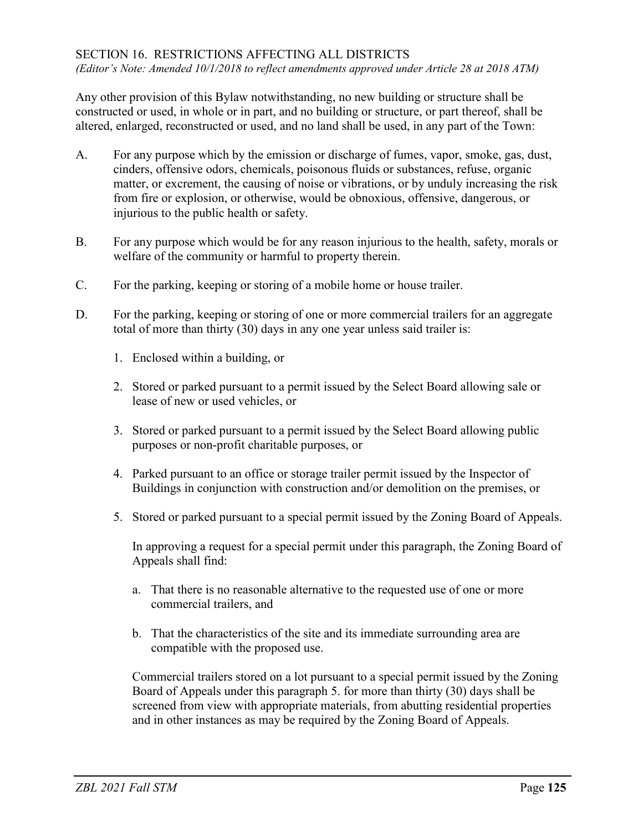Any other provision of this Bylaw notwithstanding, no new building or structure shall be constructed or used, in whole or in part, and no building or structure, or part thereof, shall be altered, enlarged, reconstructed or used, and no land shall be used, in any part of the Town:

- A. For any purpose which by the emission or discharge of fumes, vapor, smoke, gas, dust, cinders, offensive odors, chemicals, poisonous fluids or substances, refuse, organic matter, or excrement, the causing of noise or vibrations, or by unduly increasing the risk from fire or explosion, or otherwise, would be obnoxious, offensive, dangerous, or injurious to the public health or safety.
- B. For any purpose which would be for any reason injurious to the health, safety, morals or welfare of the community or harmful to property therein.
- C. For the parking, keeping or storing of a mobile home or house trailer.
- D. For the parking, keeping or storing of one or more commercial trailers for an aggregate total of more than thirty (30) days in any one year unless said trailer is:
	- 1. Enclosed within a building, or
	- 2. Stored or parked pursuant to a permit issued by the Select Board allowing sale or lease of new or used vehicles, or
	- 3. Stored or parked pursuant to a permit issued by the Select Board allowing public purposes or non-profit charitable purposes, or
	- 4. Parked pursuant to an office or storage trailer permit issued by the Inspector of Buildings in conjunction with construction and/or demolition on the premises, or
	- 5. Stored or parked pursuant to a special permit issued by the Zoning Board of Appeals.

In approving a request for a special permit under this paragraph, the Zoning Board of Appeals shall find:

- a. That there is no reasonable alternative to the requested use of one or more commercial trailers, and
- b. That the characteristics of the site and its immediate surrounding area are compatible with the proposed use.

Commercial trailers stored on a lot pursuant to a special permit issued by the Zoning Board of Appeals under this paragraph 5. for more than thirty (30) days shall be screened from view with appropriate materials, from abutting residential properties and in other instances as may be required by the Zoning Board of Appeals.